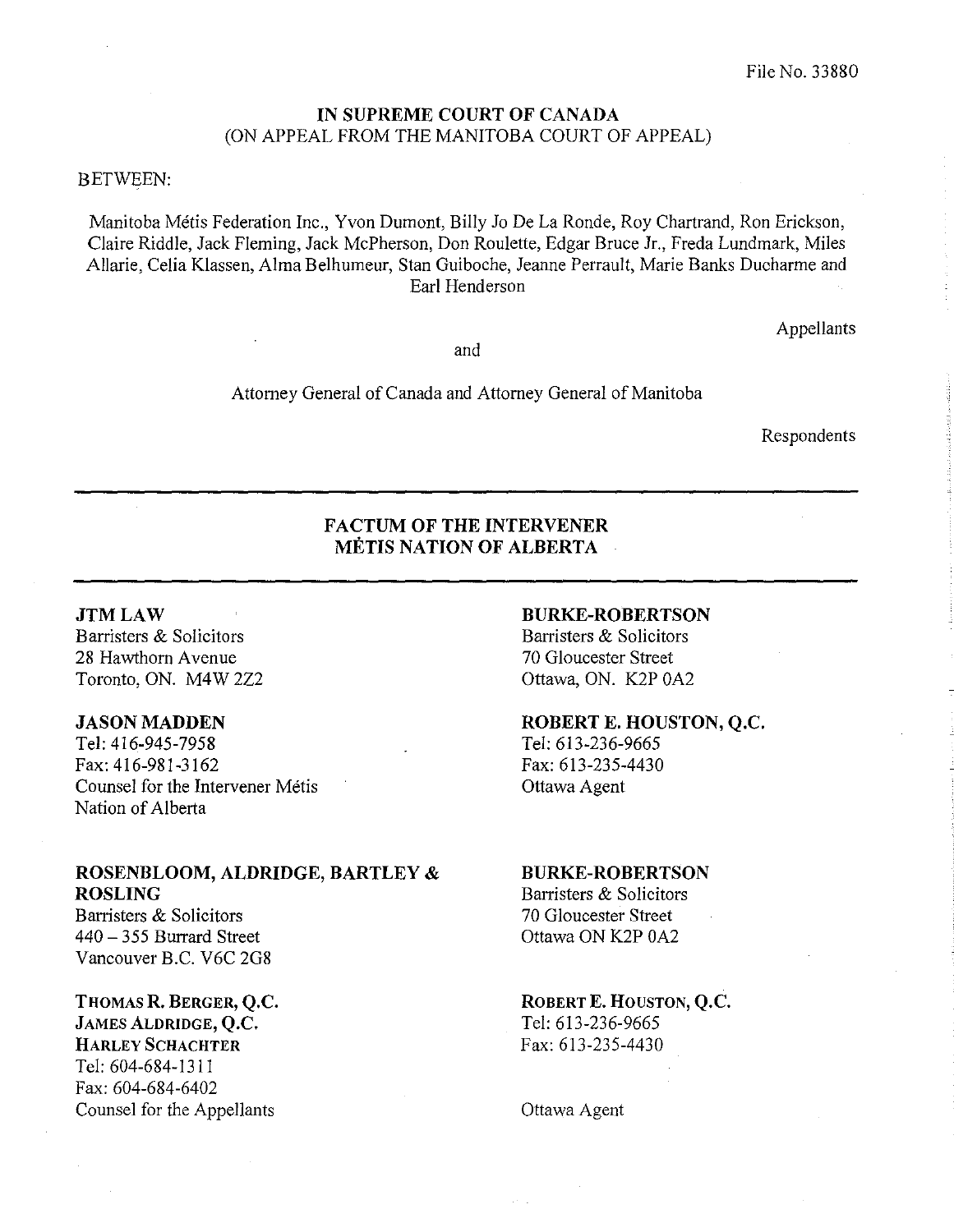#### IN SUPREME COURT OF CANADA (ON APPEAL FROM THE MANITOBA COURT OF APPEAL)

#### BETWEEN:

Manitoba Metis Federation Inc., Yvon Dumont, Billy Jo De La Ronde, Roy Chartrand, Ron Erickson, Claire Riddle, Jack Fleming, Jack McPherson, Don Roulette, Edgar Bruce Jr., Freda Lundmark, Miles Allarie, Celia Klassen, Alma Belhumeur, Stan Guiboche, Jeanne Perrault, Marie Banks Duoharme and Earl Henderson

and

Attorney General of Canada and Attorney General of Manitoba

Respondents

Appellants

### FACTUM OF THE INTERVENER METIS NATION OF ALBERTA

#### JTMLAW

Barristers & Solicitors 28 Hawthorn Avenue Toronto, ON. M4W 2Z2

#### JASON MADDEN

Tel: 416-945-7958 Fax: 416-981-3162 Counsel for the Intervener Métis Nation of Alberta

#### ROSENBLOOM, ALDRIDGE, BARTLEY & ROSLING

Barristers & Solicitors 440 - 355 Burrard Street Vancouver B.C. V6C 2G8

## THOMAS R. BERGER, Q.C. JAMES ALDRIDGE, Q.C. HARLEY SCHACHTER

Tel: 604-684-l311 Fax: 604-684-6402 Counsel for the Appellants

### BURKE-ROBERTSON Barristers & Solicitors

70 Gloucester Street Ottawa, ON. K2P OA2

### ROBERT E. HOUSTON, Q.C.

Tel: 613-236-9665 Fax: 613-235-4430 Ottawa Agent

#### BURKE-ROBERTSON

Barristers & Solicitors 70 Gloucester Street Ottawa ON K2P OA2

### ROBERT E. HOUSTON, Q.C.

Tel: 613-236-9665 Fax: 613-235-4430

Ottawa Agent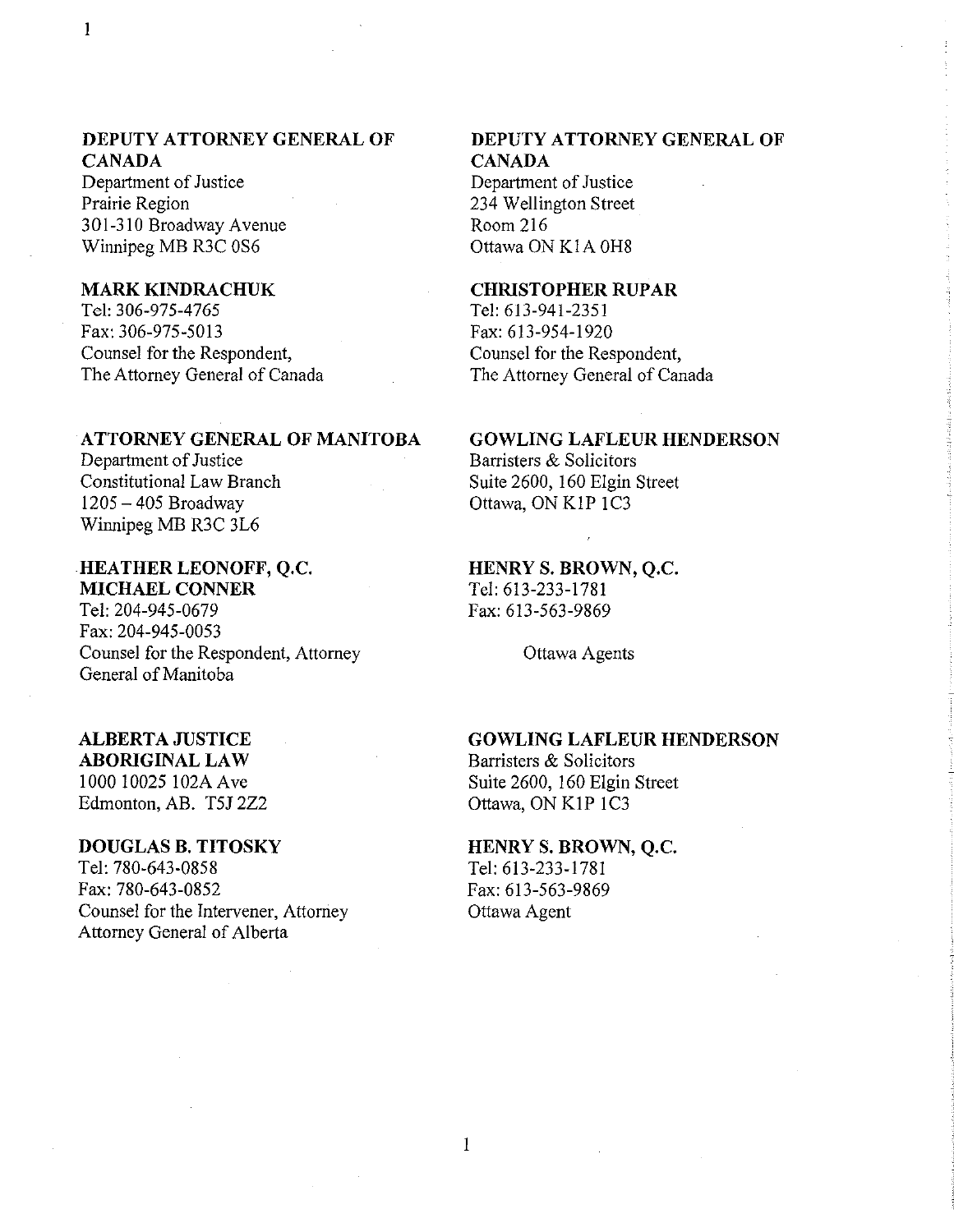### DEPUTY ATTORNEY GENERAL OF CANADA

Department of Justice Prairie Region 301-310 Broadway Avenue Winnipeg MB R3C OS6

### MARK KINDRACHUK

Tel: 306-975-4765 Fax: 306-975-5013 Counsel for the Respondent, The Attorney General of Canada

#### ATTORNEY GENERAL OF MANITOBA

Department of Justice Constitutional Law Branch 1205 - 405 Broadway Winnipeg MB R3C 3L6

### HEATHER LEONOFF, Q.c.

MICHAEL CONNER Tel: 204-945-0679 Fax: 204-945-0053 Counsel for the Respondent, Attorney General of Manitoba

# ALBERTA JUSTICE

ABORIGINAL LAW 1000 10025 I 02A Ave Edmonton, AB. T5J 2Z2

### DOUGLAS B. TITOSKY

Tel: 780-643-0858 Fax: 780-643-0852 Counsel for the Intervener, Attorney Attorney General of Alberta

## DEPUTY ATTORNEY GENERAL OF CANADA

Department of Justice 234 Wellington Street Room 216 Ottawa ON K1A 0H8

### **CHRISTOPHER RUPAR**

Tel: 613-941-2351 Fax: 613-954-1920 Counsel for the Respondent, The Attorney General of Canada

#### GOWLING LAFLEUR HENDERSON

Barristers & Solicitors Suite 2600, 160 Elgin Street Ottawa, ON KIP IC3

HENRY S. BROWN, Q.c. Tel: 613-233-1781

Fax: 613-563-9869

Ottawa Agents

### GOWLING LAFLEUR HENDERSON

Barristers & Solicitors Suite 2600, 160 Elgin Street Ottawa, ON KIP IC3

### HENRY S. BROWN, Q.C.

Tel: 613-233-1781 Fax: 613-563-9869 Ottawa Agent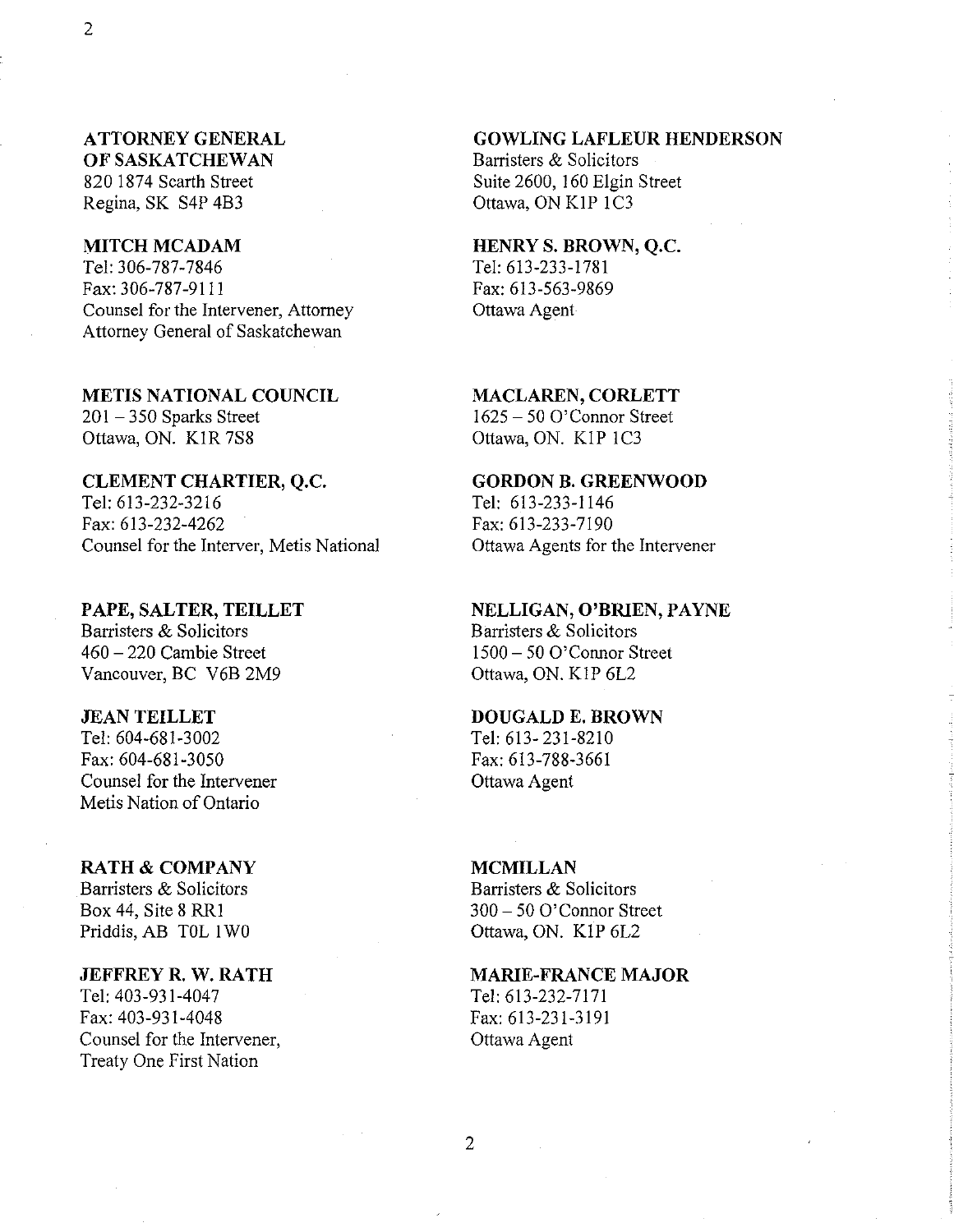### ATTORNEY GENERAL OF SASKATCHEWAN

820 1874 Scarth Street Regina, SK S4P 4B3

### MITCH MCADAM

Tel: 306-787-7846 Fax: 306-787-9111 Counsel for the Intervener, Attorney Attorney General of Saskatchewan

METIS NATIONAL COUNCIL  $201 - 350$  Sparks Street

Ottawa, ON. KIR 7S8

### CLEMENT CHARTIER, Q.c.

Tel: 613-232-3216 Fax: 613-232-4262 Counsel for the Interver, Metis National

PAPE, SALTER, TEILLET Barristers & Solicitors 460 - 220 Carnbie Street Vancouver, BC V6B 2M9

#### JEAN TEILLET

Tel: 604-681-3002 Fax: 604-681-3050 Counsel for the Intervener Metis Nation of Ontario

### RATH & COMPANY

Barristers & Solicitors Box 44, Site 8 RRI Priddis, AB TOL I WO

#### JEFFREY R. W. RATH

Tel: 403-931-4047 Fax: 403-931-4048 Counsel for the Intervener, Treaty One First Nation

#### GOWLING LAFLEUR HENDERSON

Barristers & Solicitors Suite 2600, 160 Elgin Street Ottawa, ON KIP IC3

#### HENRY S. BROWN, Q.c.

Tel: 613-233-1781 Fax: 613-563-9869 Ottawa Agent

#### MACLAREN, CORLETT

1625 - 50 O'Connor Street Ottawa, ON. KIP IC3

### GORDON B. GREENWOOD

Tel: 613-233-1146 Fax: 613-233-7190 Ottawa Agents for the Intervener

### NELLIGAN, O'BRIEN, PAYNE

Barristers & Solicitors 1500 - 50 O'Connor Street Ottawa, ON. KIP 6L2

#### DOUGALD E. BROWN

Tel: 613- 231-8210 Fax: 613-788-3661 Ottawa Agent

### MCMILLAN Barristers & Solicitors 300 - 50 O'Connor Street Ottawa, ON. KIP 6L2

### MARIE-FRANCE MAJOR Tel: 613-232-7171 Fax: 613-231-3191 Ottawa Agent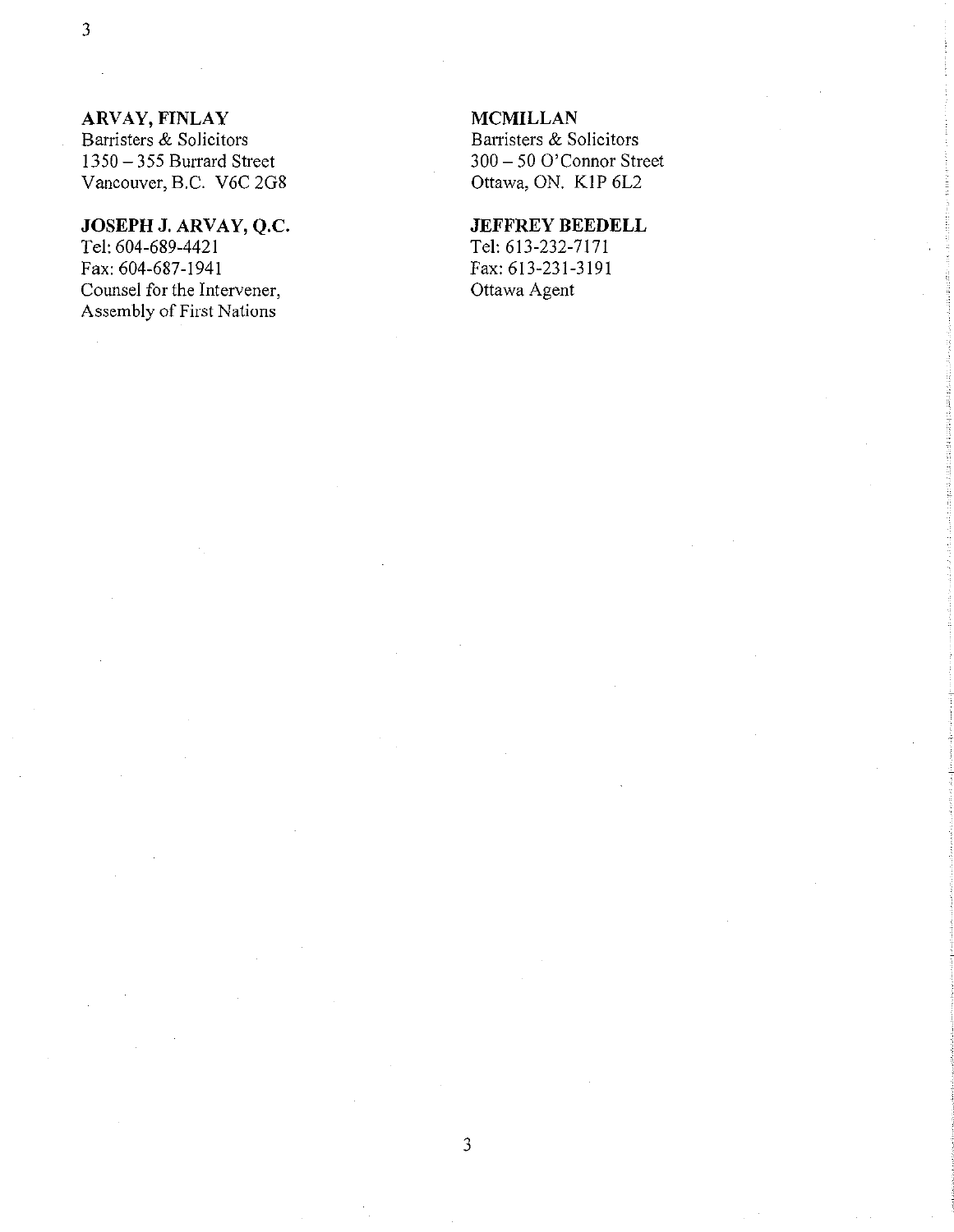### **ARVAY, FINLAY**

Barristers & Solicitors 1350 - 355 Burrard Street Vancouver, B.C. V6C 2G8

# **JOSEPH J. ARVAY, Q.c.**

Tel: 604-689-4421 Fax: 604-687-1941 Counsel for the Intervener, Assembly of First Nations

### **MCMILLAN**

Barristers & Solicitors 300 - 50 O'Connor Street Ottawa, ON. KIP 6L2

### **JEFFREY BEEDELL**

Tel: 613-232-7171 Fax: 613-231-3191 Ottawa Agent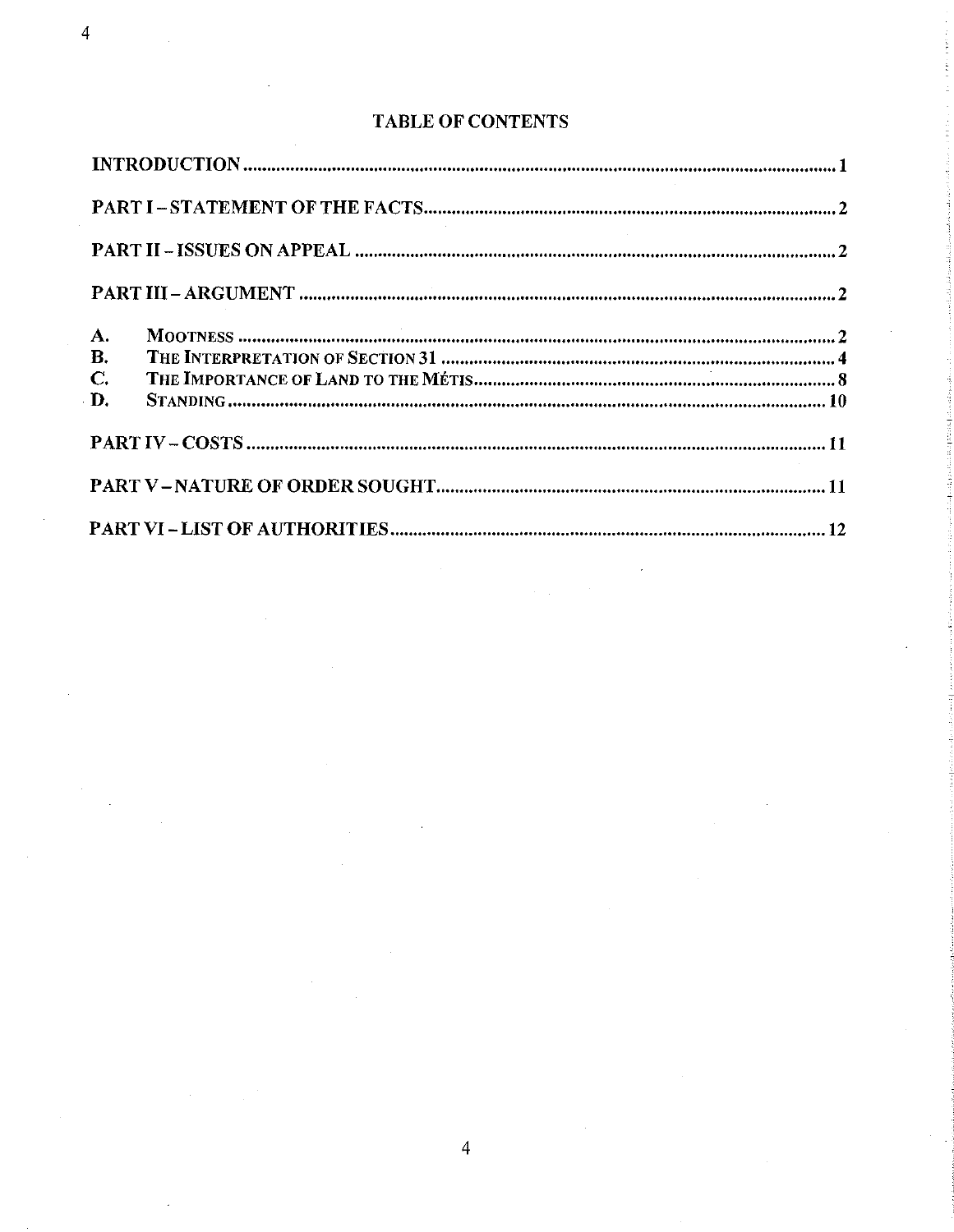| $A_{\cdot}$ |  |
|-------------|--|
| <b>B.</b>   |  |
| $C_{\cdot}$ |  |
| D.          |  |
|             |  |
|             |  |
|             |  |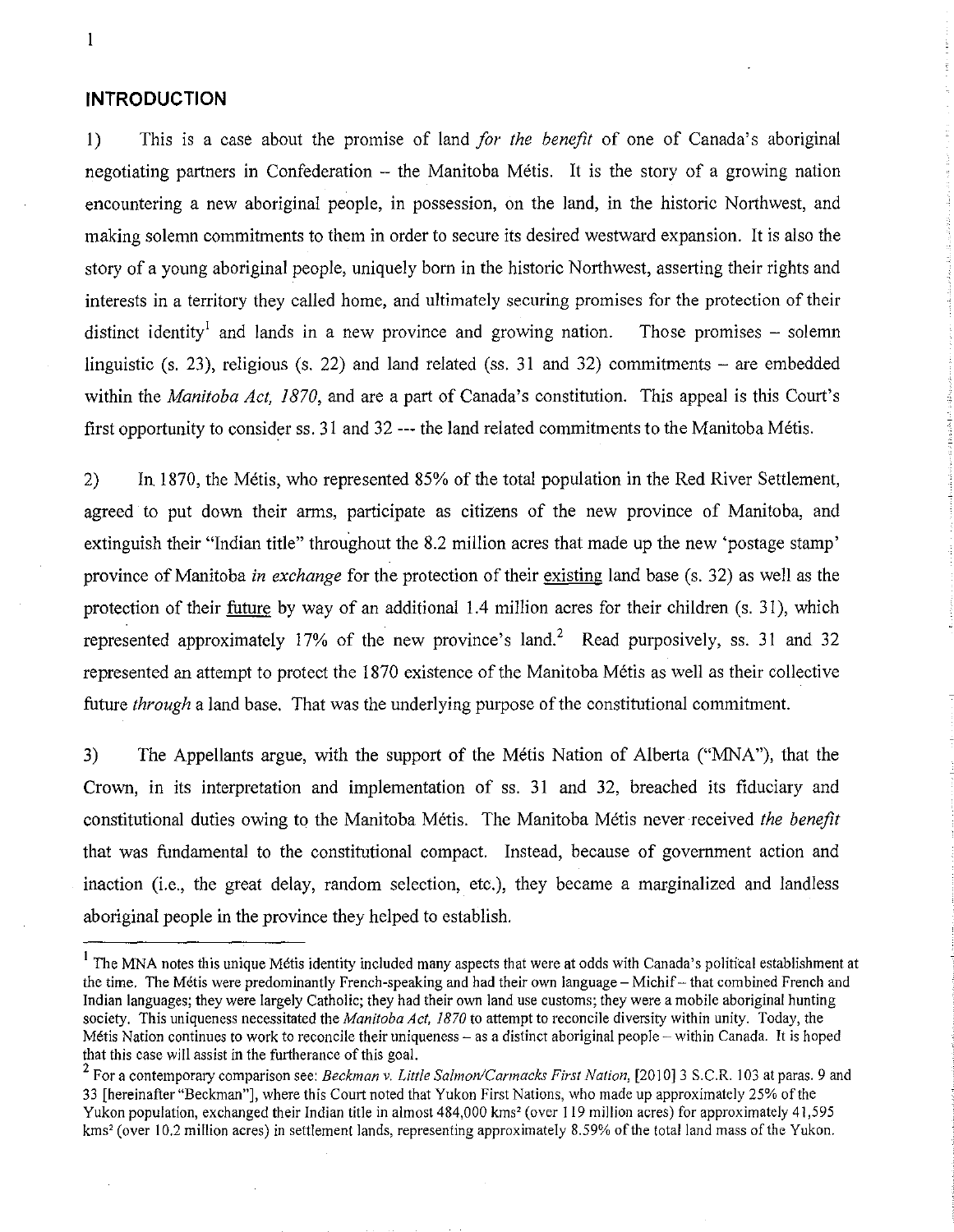#### **INTRODUCTION**

1) This is a case about the promise of land *for the benefit* of one of Canada's aboriginal negotiating partners in Confederation – the Manitoba Métis. It is the story of a growing nation encountering a new aboriginal people, in possession, on the land, in the historic Northwest, and making solemn commitments to them in order to secure its desired westward expansion. It is also the story of a young aboriginal people, uniquely born in the historic Northwest, asserting their rights and interests in a territory they called home, and ultimately securing promises for the protection of their distinct identity<sup>1</sup> and lands in a new province and growing nation. Those promises – solemn linguistic *(s.* 23), religious *(s.* 22) and land related *(ss.* 31 and 32) commitments - are embedded within the *Manitoba Act, 1870,* and are a part of Canada's constitution. This appeal is this Court's first opportunity to consider *ss.* 31 and 32 **---** the land related commitments to the Manitoba Metis.

2) In 1870, the Metis, who represented 85% of the total population in the Red River Settlement, agreed to put down their arms, participate as citizens of the new province of Manitoba, and extinguish their "Indian title" throughout the 8.2 million acres that made up the new 'postage stamp' province of Manitoba *in exchange* for the protection of their existing land base *(s.* 32) as well as the protection of their future by way of an additional 1.4 million acres for their children *(s.* 31), which represented approximately 17% of the new province's land.<sup>2</sup> Read purposively, ss. 31 and 32 represented an attempt to protect the 1870 existence of the Manitoba Metis as well as their collective future *through* a land base. That was the underlying purpose of the constitutional commitment.

3) The Appellants argue, with the support of the Metis Nation of Alberta ("MNA"), that the Crown, in its interpretation and implementation of *ss.* 31 and 32, breached its fiduciary and constitutional duties owing to the Manitoba Metis. The Manitoba Metis never received *the benefit*  that was fundamental to the constitutional compact. Instead, because of government action and inaction (i.e., the great delay, random selection, etc.), they became a marginalized and landless aboriginal people in the province they helped to establish.

 $<sup>1</sup>$  The MNA notes this unique Métis identity included many aspects that were at odds with Canada's political establishment at</sup> the time. The Métis were predominantly French-speaking and had their own language – Michif – that combined French and Indian languages; they were largely Catholic; they had their own land use customs; they were a mobile aboriginal hunting society. This uniqueness necessitated the *Manitoba Act, 1870* to attempt to reconcile diversity within unity. Today, the Métis Nation continues to work to reconcile their uniqueness  $-\infty$  as a distinct aboriginal people  $-\infty$  within Canada. It is hoped that this case will assist in the furtherance of this goal.

<sup>&</sup>lt;sup>2</sup> For a contemporary comparison see: *Beckman v. Little Salmon/Carmacks First Nation*, [2010] 3 S.C.R. 103 at paras. 9 and 33 [hereinafter "Beckman"J, where this Court noted that Yukon First Nations, who made up approximately 25% of the Yukon population, exchanged their Indian title in almost 484,000 kms<sup>2</sup> (over 119 million acres) for approximately 41,595 kms' (over 10.2 million acres) in settlement lands, representing approximately 8.59% of the total land mass of the Yukon.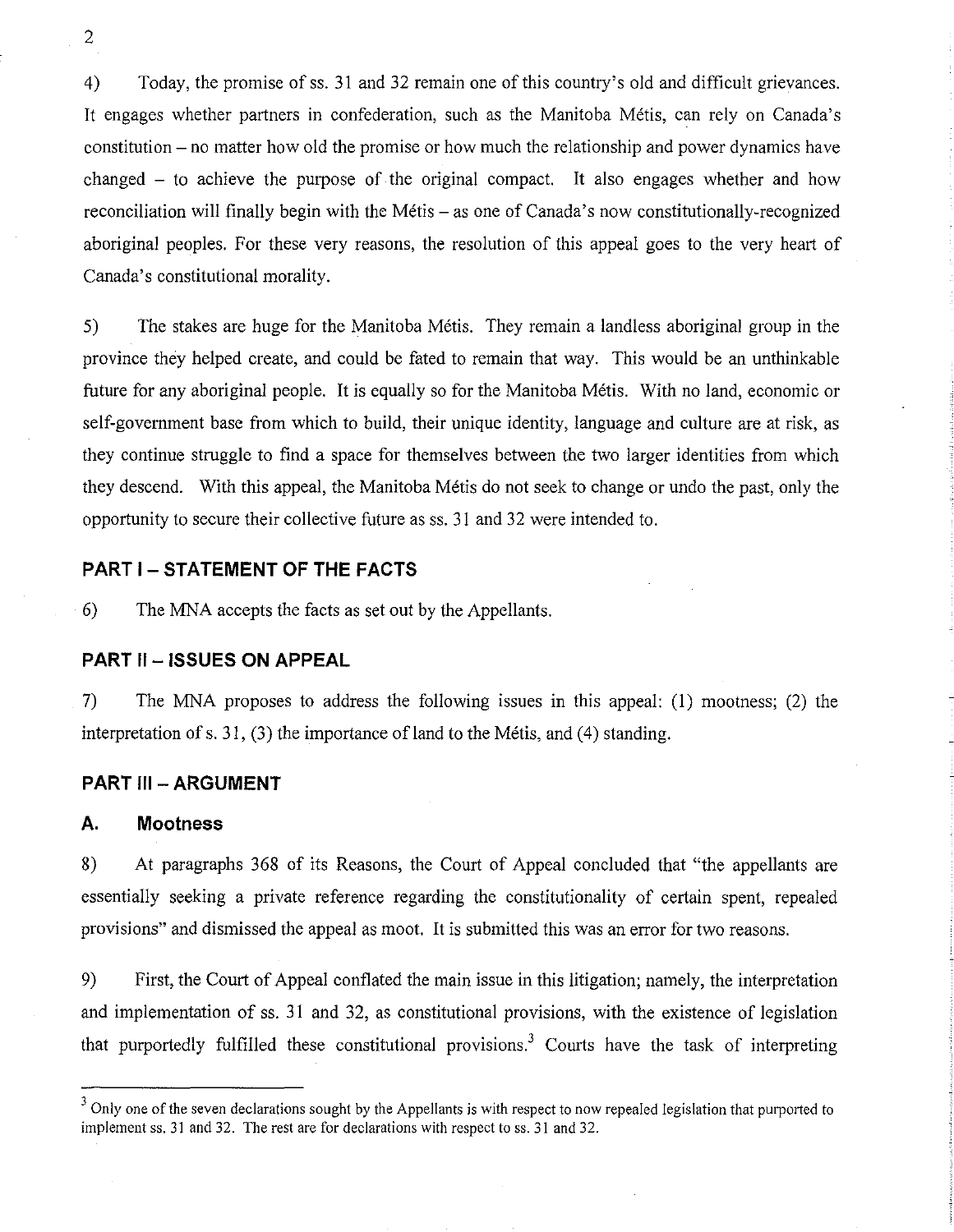4) Today, the promise ofss. 31 and 32 remain one of this country's old and difficult grievances. It engages whether partners in confederation, such as the Manitoba Metis, can rely on Canada's constitution - no matter how old the promise or how much the relationship and power dynamics have changed - to achieve the purpose of the original compact. It also engages whether and how reconciliation will finally begin with the Métis – as one of Canada's now constitutionally-recognized aboriginal peoples. For these very reasons, the resolution of this appeal goes to the very heart of Canada's constitutional morality.

5) The stakes are huge for the Manitoba Metis. They remain a landless aboriginal group in the province they helped create, and could be fated to remain that way. This would be an unthinkable future for any aboriginal people. It is equally so for the Manitoba Metis. With no land, economic or self-government base from which to build, their unique identity, language and culture are at risk, as they continue struggle to find a space for themselves between the two larger identities from which they descend. With this appeal, the Manitoba Metis do not seek to change or undo the past, only the opportunity to secure their collective future as ss. 31 and 32 were intended to.

### **PART 1- STATEMENT OF THE FACTS**

6) The MNA accepts the facts as set out by the Appellants.

### **PART II - ISSUES ON APPEAL**

7) The MNA proposes to address the following issues in this appeal: (I) mootness; (2) the interpretation of s. 31, (3) the importance of land to the Métis, and (4) standing.

#### **PART III - ARGUMENT**

#### **A. Mootness**

8) At paragraphs 368 of its Reasons, the Court of Appeal concluded that "the appellants are essentially seeking a private reference regarding the constitutionality of certain spent, repealed provisions" and dismissed the appeal as moot. It is submitted this was an error for two reasons.

9) First, the Court of Appeal conflated the main issue in this litigation; namely, the interpretation and implementation of ss. 31 and 32, as constitutional provisions, with the existence of legislation that purportedly fulfilled these constitutional provisions.<sup>3</sup> Courts have the task of interpreting

<sup>&</sup>lt;sup>3</sup> Only one of the seven declarations sought by the Appellants is with respect to now repealed legislation that purported to implement ss. 31 and 32. The rest are for declarations with respect to ss. 31 and 32.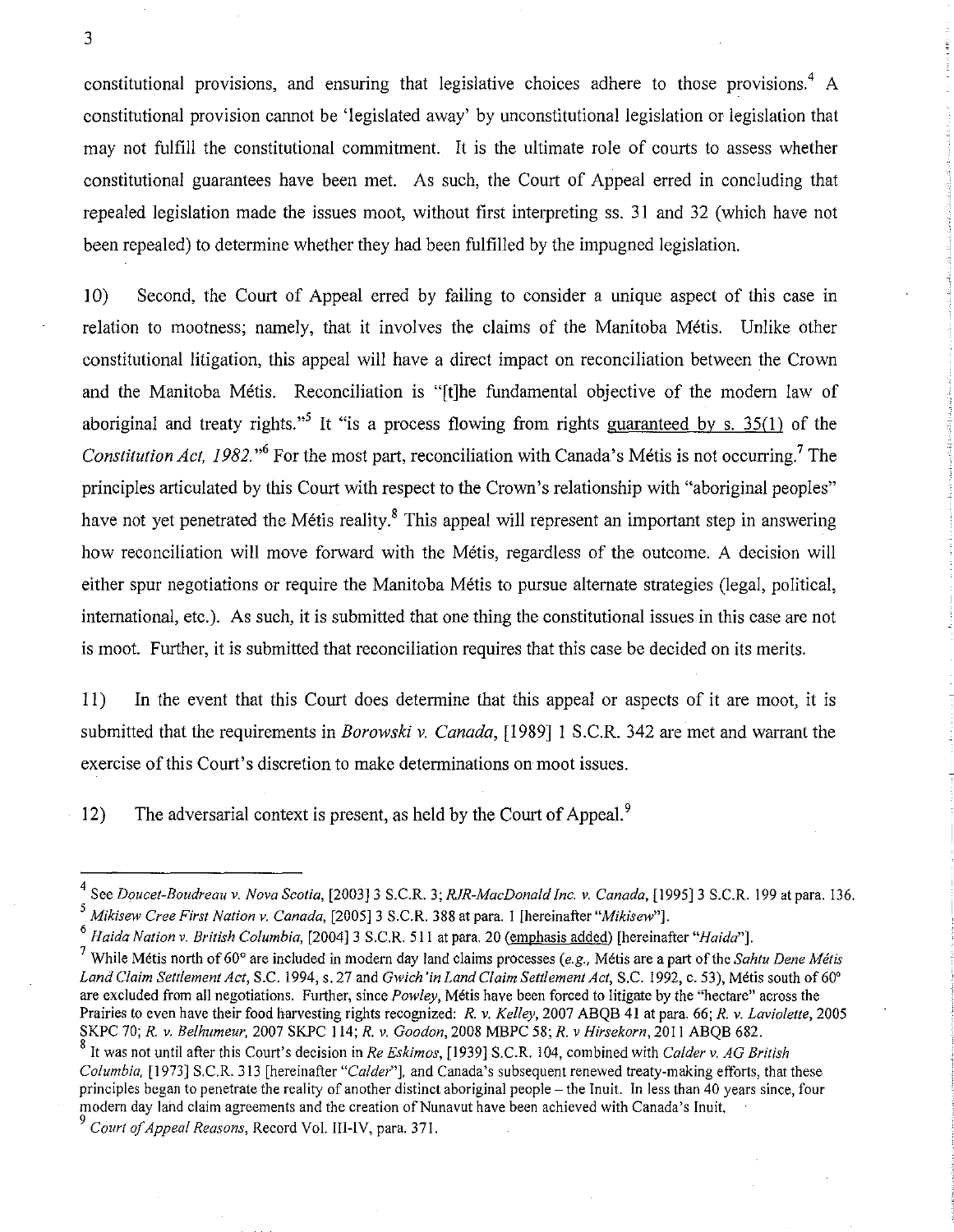constitutional provisions, and ensuring that legislative choices adhere to those provisions.<sup>4</sup> A constitutional provision cannot be 'legislated away' by unconstitutional legislation or legislation that may not fulfill the constitutional commitment. It is the ultimate role of courts to assess whether constitutional guarantees have been met. As such, the Court of Appeal erred in concluding that repealed legislation made the issues moot, without first interpreting ss. 31 and 32 (which have not been repealed) to determine whether they had been fulfilled by the impugned legislation.

10) Second, the Court of Appeal erred by failing to consider a unique aspect of this case in relation to mootness; namely, that it involves the claims of the Manitoba Metis. Unlike other constitutional litigation, this appeal will have a direct impact on reconciliation between the Crown and the Manitoba Metis. Reconciliation is "[t]he fundamental objective of the modem law of aboriginal and treaty rights.<sup>55</sup> It "is a process flowing from rights guaranteed by s. 35(1) of the *Constitution Act, 1982.*<sup>6</sup> For the most part, reconciliation with Canada's Métis is not occurring.<sup>7</sup> The principles articulated by this Court with respect to the Crown's relationship with "aboriginal peoples" have not yet penetrated the Métis reality.<sup>8</sup> This appeal will represent an important step in answering how reconciliation will move forward with the Métis, regardless of the outcome. A decision will either spur negotiations or require the Manitoba Metis to pursue alternate strategies (legal, political, international, etc.). As such, it is submitted that one thing the constitutional issues in this case are not is moot. Further, it is submitted that reconciliation requires that this case be decided on its merits.

11) In the event that this Court does determine that this appeal or aspects of it are moot, it is submitted that the requirements in *Borowski* v. *Canada,* [1989] 1 S.C.R. 342 are met and warrant the exercise of this Court's discretion to make determinations on moot issues.

12) The adversarial context is present, as held by the Court of Appeal.<sup>9</sup>

<sup>4</sup> See *Doucet-Boudreau v. Nova Scotia,* [2003]3 S.C.R. 3; *RlR-MacDonald Inc. v. Canada,* [1995]3 S.C.R. 199 at para. 136. S *Mikisew Cree First Nation v. Canada,* [2005] 3 S.C.R. 388 at para. I [hereinafter *"Mikisew"].* 

*<sup>6</sup> Haida Nation v. British Columbia,* [2004]3 S.C.R. 511 at para. 20 (emphasis added) [hereinafter *"Haida"]'* 

<sup>7</sup> While Metis north of 60° are included in modern day land claims processes *(e.g.,* Metis are a part of the *Sahtu Dene Metis Land Claim Settlement Act,* S.C. 1994, s. 27 and *Gwich 'in Land Claim Settlement Act,* S.C. 1992, c. 53), Metis south of 60' are excluded from all negotiations. Further, since *Powley,* Metis have been forced to litigate by the "hectare" across the Prairies to even have their food harvesting rights recognized: *R. v. Kelley,* 2007 ABQB 41 at para. 66; *R. v. Laviolette, 2005*  SKPC 70; *R. v. Belhumeur,* 2007 SKPC 114; *R. v. Goodon,* 2008 MBPC 58; *R. v Hirsekorn,* 2011 ABQB 682.

S It was not until after this Court's decision in *Re Eskimos,* [1939] S.C.R. 104, combined with *Calder v. AG British Columbia,* [1973] S.C.R. 313 [hereinafter *"Calder"]'* and Canada's subsequent renewed treaty-making efforts, that these principles began to penetrate the reality of another distinct aboriginal people - the Inuit. In less than 40 years since, four modern day land claim agreements and the creation of Nunavut have been achieved with Canada's Inuit. <sup>9</sup>*Court of Appeal Reasons,* Record Vol. III-IV, para. 371.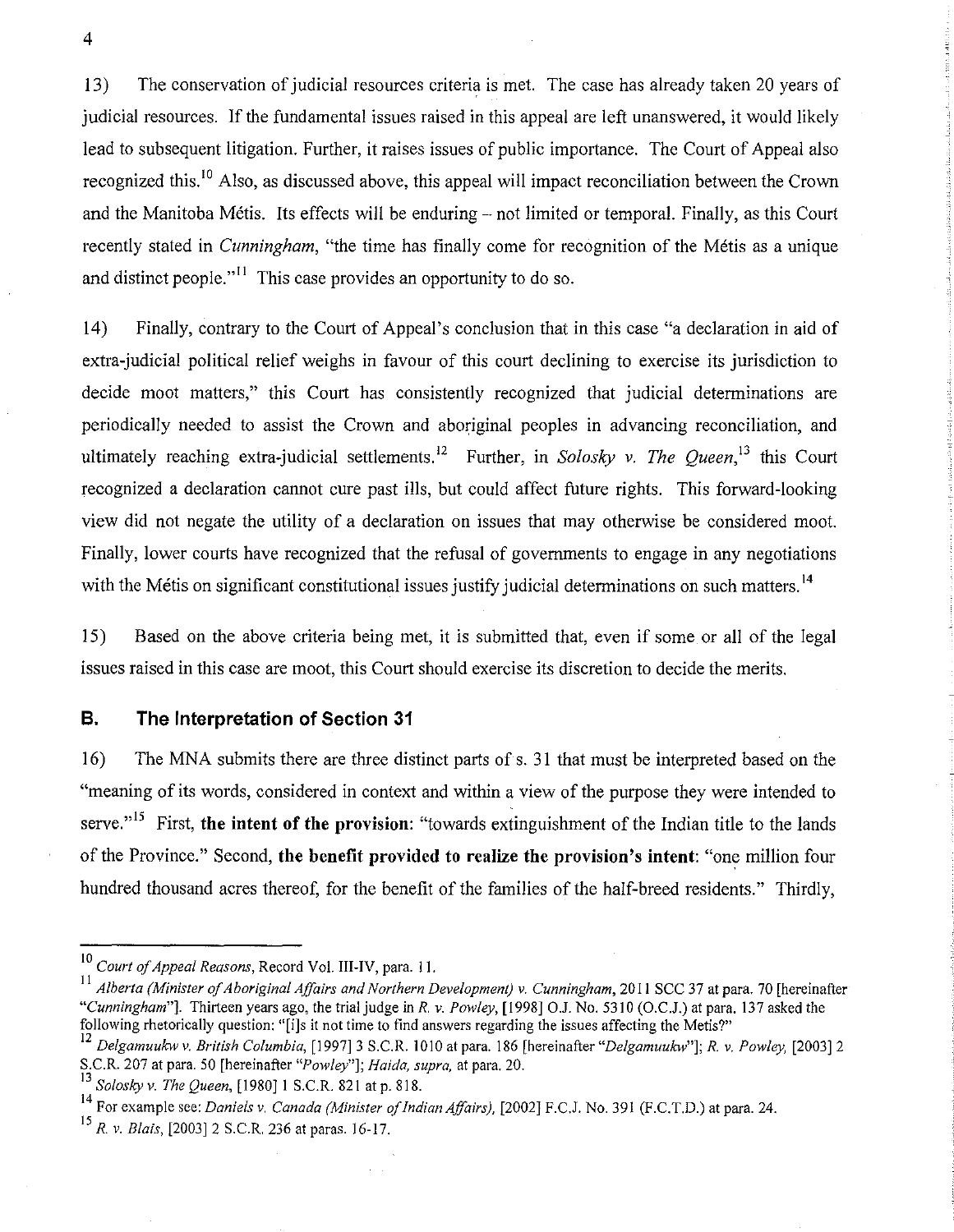13) The conservation of judicial resources criteria is met. The case has already taken 20 years of judicial resources. If the fundamental issues raised in this appeal are left unanswered, it would likely lead to subsequent litigation. Further, it raises issues of public importance. The Court of Appeal also recognized this.<sup>10</sup> Also, as discussed above, this appeal will impact reconciliation between the Crown and the Manitoba Métis. Its effects will be enduring – not limited or temporal. Finally, as this Court recently stated in *Cunningham,* "the time has finally come for recognition of the Metis as a unique and distinct people."<sup> $11$ </sup> This case provides an opportunity to do so.

14) Finally, contrary to the Court of Appeal's conclusion that in this case "a declaration in aid of extra-judicial political relief weighs in favour of this court declining to exercise its jurisdiction to decide moot matters," this Court has consistently recognized that judicial determinations are periodically needed to assist the Crown and aboriginal peoples in advancing reconciliation, and ultimately reaching extra-judicial settlements.<sup>12</sup> Further, in *Solosky v. The Oueen*,<sup>13</sup> this Court recognized a declaration cannot cure past ills, but could affect future rights. This forward-looking view did not negate the utility of a declaration on issues that may otherwise be considered moot. Finally, lower courts have recognized that the refusal of governments to engage in any negotiations with the Métis on significant constitutional issues justify judicial determinations on such matters.<sup>14</sup>

15) Based on the above criteria being met, it is submitted that, even if some or all of the legal issues raised in this case are moot, this Court should exercise its discretion to decide the merits.

### **B. The Interpretation of Section 31**

16) The MNA submits there are three distinct parts of s. 31 that must be interpreted based on the "meaning of its words, considered in context and within a view of the purpose they were intended to serve."<sup>15</sup> First, the intent of the provision: "towards extinguishment of the Indian title to the lands of the Province." Second, **the benefit provided to realize the provision's intent:** "one million four hundred thousand acres thereof, for the benefit of the families of the half-breed residents." Thirdly,

<sup>10</sup>*Court of Appeal Reasons,* Record Vol. III-IV, para. II.

II *Alberta (Minister of Aboriginal Affairs and Northern Development) v. Cunningham*, 2011 SCC 37 at para. 70 [hereinafter *"Cunningham"J.* Thirteen years ago, the trial judge in *R.* v. *Powley,* [1998J 0.1. No. 5310 (O.C.J.) at para. 137 asked the following rhetorically question: "[i]s it not time to find answers regarding the issues affecting the Metis?"

*<sup>12</sup> Delgamuukw* v. *British Columbia,* [1997J 3 S.C.R. 1010 at para. 186 [hereinafter *"Delgamuukw"J; R. v. Powley,* [2003J 2 S.C.R. 207 at para. 50 [hereinafter *"Powley"J; Haida, supra.* at para. 20.

<sup>13</sup>*Solosky* v. *The Queen,* [1980J I S.C.R. 821 at p. 818.

<sup>14</sup> For example see: *Daniels v. Canada (Minister of Indian Affairs),* [2002J F.C.J. No. 391 (F.C.T.D.) at para. 24.

<sup>&</sup>lt;sup>15</sup> *R. v. Blais,* [2003] 2 S.C.R. 236 at paras, 16-17.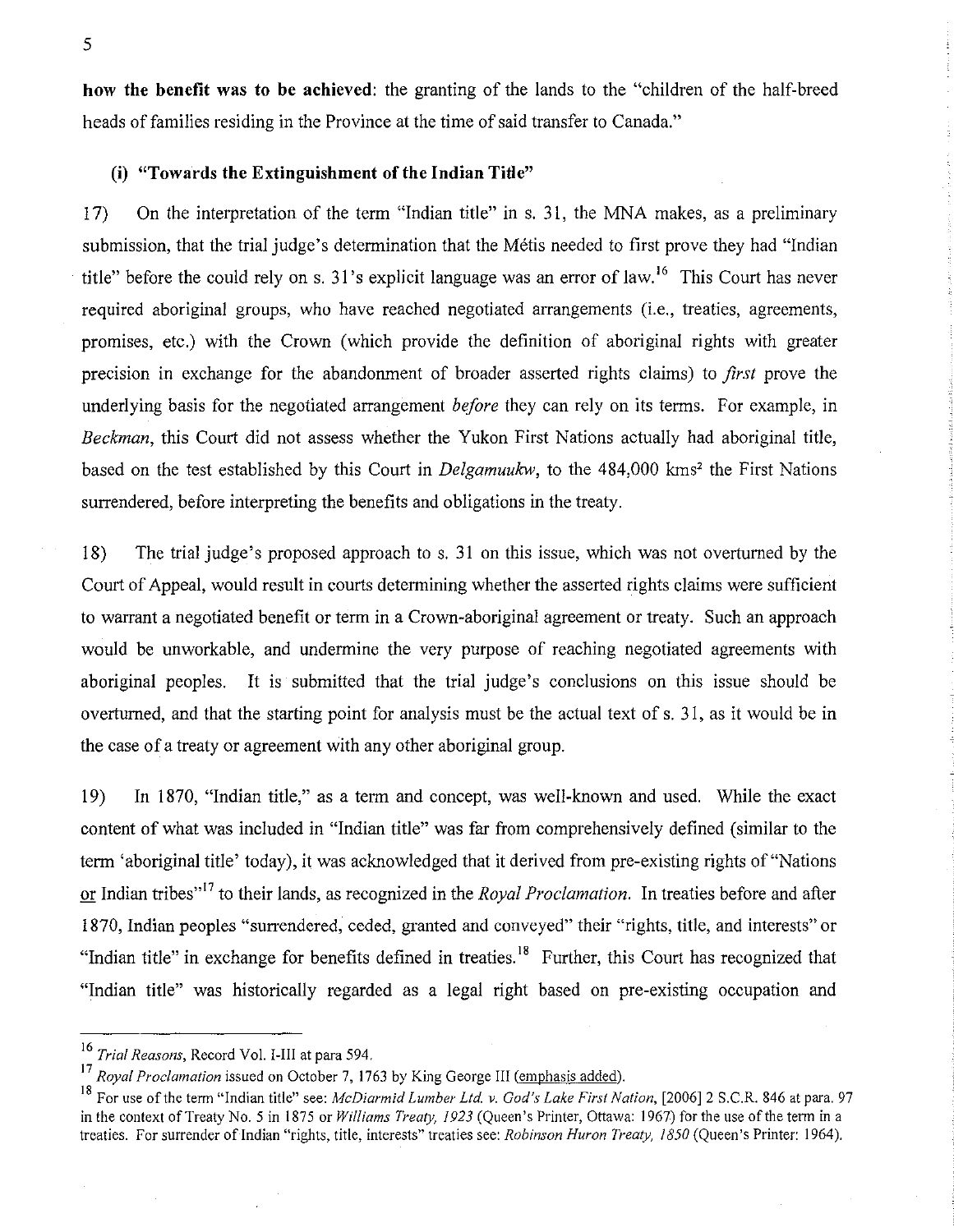how the benefit was to be achieved: the granting of the lands to the "children of the half-breed heads of families residing in the Province at the time of said transfer to Canada."

### (i) "Towards the Extinguishment of the **Indian** Title"

17) On the interpretation of the term "Indian title" in s. 31, the MNA makes, as a preliminary submission, that the trial judge's determination that the Métis needed to first prove they had "Indian title" before the could rely on s. 31's explicit language was an error of law.<sup>16</sup> This Court has never required aboriginal groups, who have reached negotiated arrangements (i.e., treaties, agreements, promises, etc.) with the Crown (which provide the definition of aboriginal rights with greater precision in exchange for the abandonment of broader asserted rights claims) to *first* prove the underlying basis for the negotiated arrangement *before* they can rely on its terms. For example, in *Beckman,* this Court did not assess whether the Yukon First Nations actually had aboriginal title, based on the test established by this Court in *Delgamuukw*, to the 484,000 kms<sup>2</sup> the First Nations surrendered, before interpreting the benefits and obligations in the treaty.

18) The trial judge's proposed approach to s. 31 on this issue, which was not overturned by the Court of Appeal, would result in courts determining whether the asserted rights claims were sufficient to warrant a negotiated benefit or term in a Crown-aboriginal agreement or treaty. Such an approach would be unworkable, and undermine the very purpose of reaching negotiated agreements with aboriginal peoples. It is submitted that the trial judge's conclusions on this issue should be overturned, and that the starting point for analysis must be the actual text of s. 31, as it would be in the case of a treaty or agreement with any other aboriginal group.

19) In 1870, "Indian title," as a term and concept, was well-known and used. While the exact content of what was included in "Indian title" was far from comprehensively defined (similar to the term 'aboriginal title' today), it was acknowledged that it derived from pre-existing rights of "Nations" or Indian tribes"17 to their lands, as recognized in the *Royal Proclamation.* In treaties before and after 1870, Indian peoples "surrendered, ceded, granted and conveyed" their "rights, title, and interests" or "Indian title" in exchange for benefits defined in treaties.<sup>18</sup> Further, this Court has recognized that "Indian title" was historically regarded as a legal right based on pre-existing occupation and

*<sup>16</sup> Trial Reasons,* Record Vol. I-III at para 594.

<sup>&</sup>lt;sup>17</sup> Royal Proclamation issued on October 7, 1763 by King George III (emphasis added).

<sup>&</sup>lt;sup>18</sup> For use of the term "Indian title" see: *McDiarmid Lumber Ltd. v. God's Lake First Nation*, [2006] 2 S.C.R. 846 at para. 97 in the context of Treaty No.5 in 1875 or *Williams Treaty,* 1923 (Queen's Printer, Ottawa: 1967) for the use of the term in a treaties. For surrender ofIndian "rights, title, interests" treaties see: *Robinson Huron Treaty, 1850* (Queen's Printer: 1964).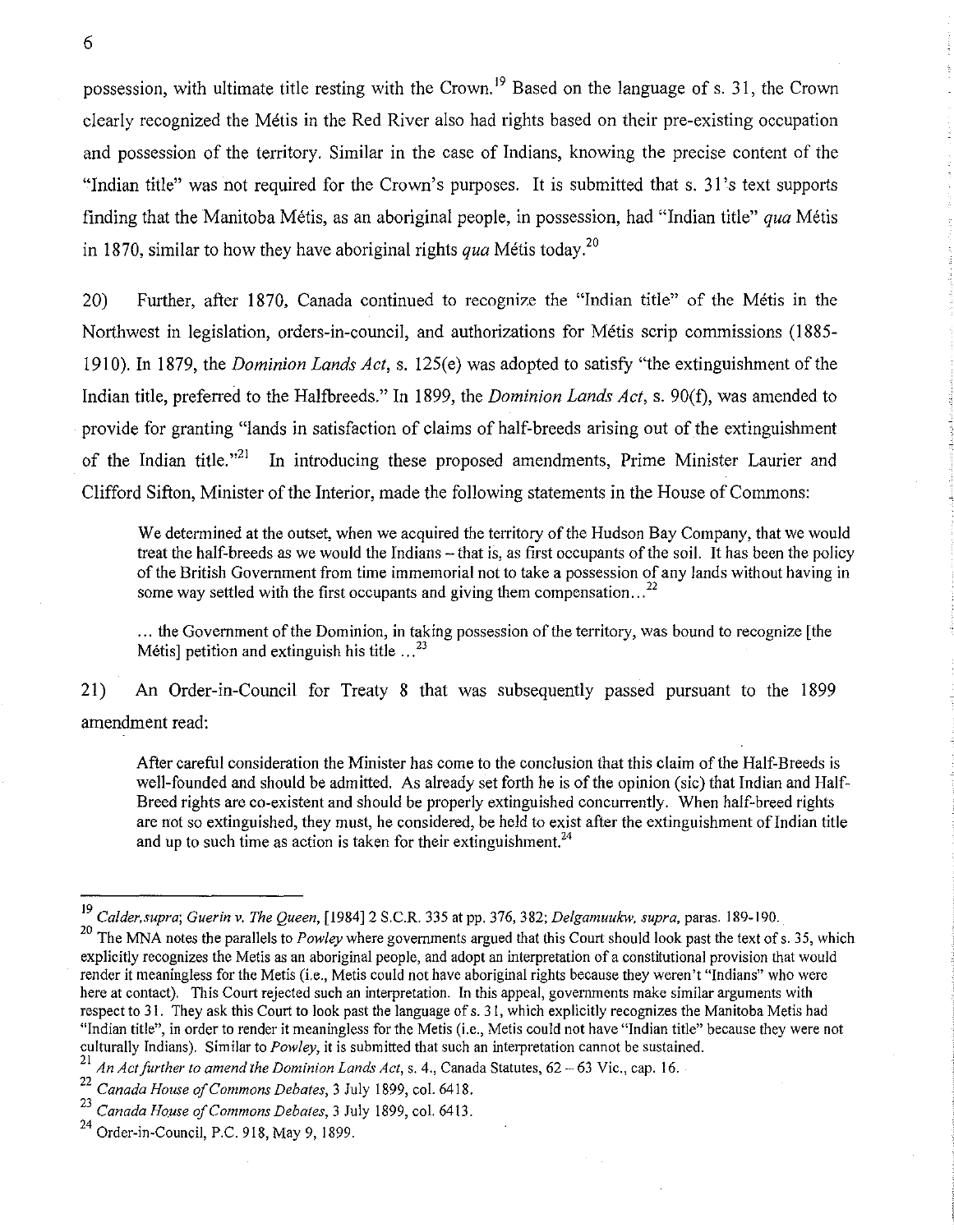possession, with ultimate title resting with the Crown. 19 Based on the language of s. 31, the Crown clearly recognized the Metis in the Red River also had rights based on their pre-existing occupation and possession of the territory. Similar in the case of Indians, knowing the precise content of the "Indian title" was not required for the Crown's purposes. It is submitted that s. 31's text supports finding that the Manitoba Metis, as an aboriginal people, in possession, had "Indian title" *qua* Metis in 1870, similar to how they have aboriginal rights *qua* Métis today.<sup>20</sup>

20) Further, after 1870, Canada continued to recognize the "Indian title" of the Metis in the Northwest in legislation, orders-in-council, and authorizations for Metis scrip commissions (1885- 1910). In 1879, the *Dominion Lands Act,* s. 125(e) was adopted to satisfy "the extinguishment of the Indian title, preferred to the Halfbreeds." In 1899, the *Dominion Lands Act,* s. 90(f), was amended to provide for granting "lands in satisfaction of claims of half-breeds arising out of the extinguishment of the Indian title.<sup> $,21$ </sup> In introducing these proposed amendments, Prime Minister Laurier and Clifford Sifton, Minister of the Interior, made the following statements in the House of Commons:

We determined at the outset, when we acquired the territory of the Hudson Bay Company, that we would treat the half-breeds as we would the Indians - that is, as first occupants of the soil. It has been the policy of the British Government from time immemorial not to take a possession of any lands without having in some way settled with the first occupants and giving them compensation...<sup>22</sup>

... the Government of the Dominion, in taking possession of the territory, was bound to recognize [the Métis] petition and extinguish his title  $\ldots^{23}$ 

21) An Order-in-Council for Treaty 8 that was subsequently passed pursuant to the 1899 amendment read:

After careful consideration the Minister has come to the conclusion that this claim of the Half-Breeds is well-founded and should be admitted. As already set forth he is of the opinion (sic) that Indian and Half-Breed rights are co-existent and should be properly extinguished concurrently. When half-breed rights are not so extinguished, they must, he considered, be held to exist after the extinguishment of Indian title and up to such time as action is taken for their extinguishment.<sup>24</sup>

<sup>19</sup>*Calder, supra; Guerin v. The Queen,* [1984]2 S.C.R. 335 at pp. 376, 382; *Delgamuukw, supra,* paras. 189-190.

<sup>&</sup>lt;sup>20</sup> The MNA notes the parallels to *Powley* where governments argued that this Court should look past the text of s. 35, which explicitly recognizes the Metis as an aboriginal people, and adopt an interpretation of a constitutional provision that would render it meaningless for the Metis (Le., Metis could not have aboriginal rights because they weren't "Indians" who were here at contact). This Court rejected such an interpretation. In this appeal, governments make similar arguments with respect to 31. They ask this Court to look past the language of s. 31, which explicitly recognizes the Manitoba Metis had "Indian title", in order to render it meaningless for the Metis (i.e., Metis could not have "Indian title" because they were not culturally Indians). Similar to *Powley*, it is submitted that such an interpretation cannot be sustained.

<sup>21</sup>*An Act/urther to amend the Dominion Lands Act,* s. 4., Canada Statutes, 62 - 63 Vic., cap. 16.

<sup>22</sup>*Canada House a/Commons Debates,* 3 July 1899, col. 6418.

<sup>23</sup>*Canada House a/Commons Debates,* 3 July 1899, col. 6413.

<sup>24</sup> Order-in-Council, P.C. 918, May 9,1899.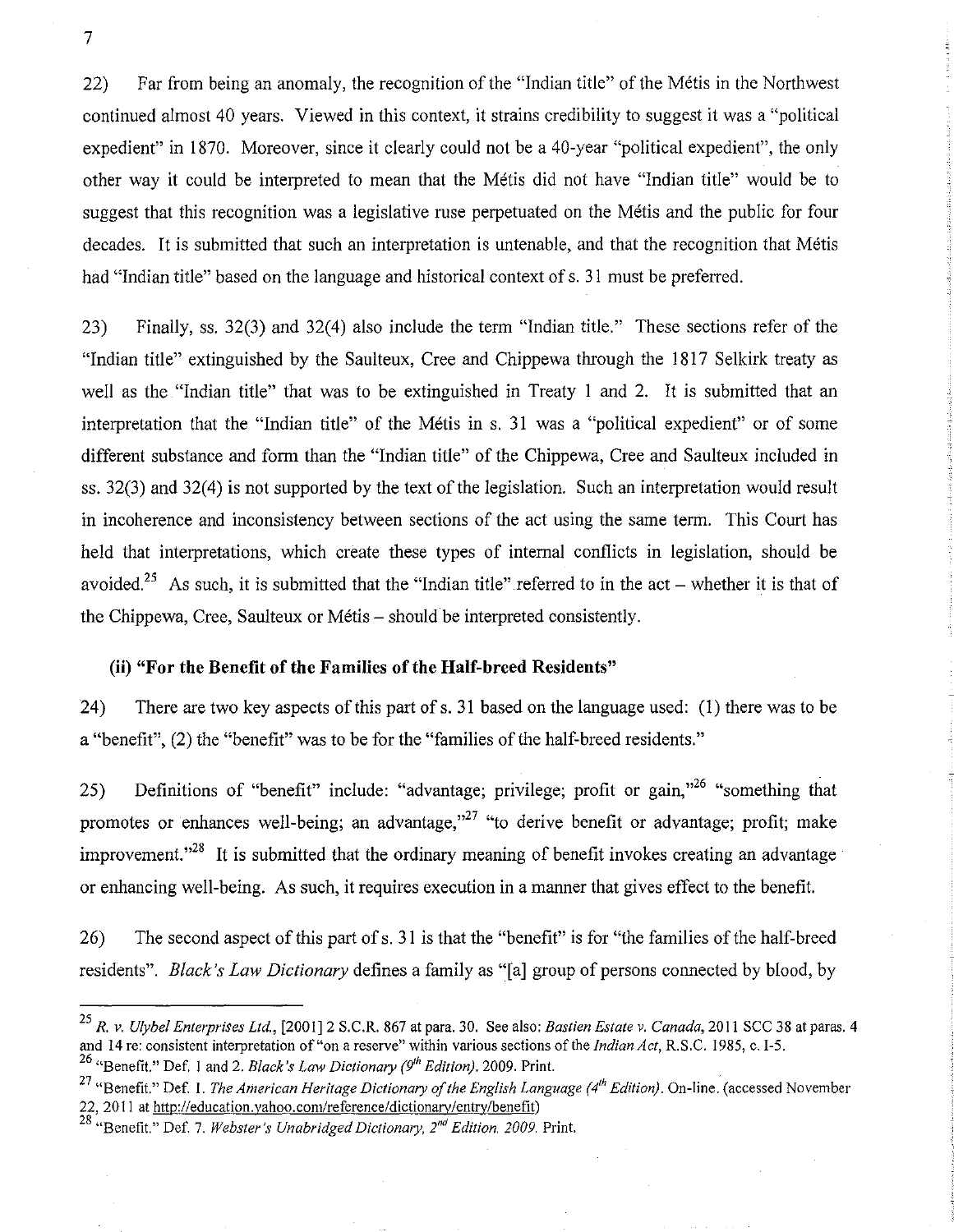22) Far from being an anomaly, the recognition of the "Indian title" of the Metis in the Northwest continued almost 40 years. Viewed in this context, it strains credibility to suggest it was a "political expedient" in 1870. Moreover, since it clearly could not be a 40-year "political expedient", the only other way it could be interpreted to mean that the Metis did not have "Indian title" would be to suggest that this recognition was a legislative ruse perpetuated on the Metis and the public for four decades. It is submitted that such an interpretation is untenable, and that the recognition that Métis had "Indian title" based on the language and historical context of s. 31 must be preferred.

23) Finally, ss. 32(3) and 32(4) also include the tenn "Indian title." These sections refer of the "Indian title" extinguished by the Saulteux, Cree and Chippewa through the 1817 Selkirk treaty as well as the "Indian title" that was to be extinguished in Treaty 1 and 2. It is submitted that an interpretation that the "Indian title" of the Metis in s. 31 was a "political expedient" or of some different substance and form than the "Indian title" of the Chippewa, Cree and Saulteux included in ss. 32(3) and 32(4) is not supported by the text of the legislation. Such an interpretation would result in incoherence and inconsistency between sections of the act using the same tenn. This Court has held that interpretations, which create these types of internal conflicts in legislation, should be avoided.<sup>25</sup> As such, it is submitted that the "Indian title" referred to in the act – whether it is that of the Chippewa, Cree, Saulteux or Métis – should be interpreted consistently.

#### (ii) **"For the Benefit of the Families of the Half-breed Residents"**

24) There are two key aspects of this part ofs. 31 based on the language used: (I) there was to be a "benefit", (2) the "benefit" was to be for the "families of the half-breed residents."

25) Definitions of "benefit" include: "advantage; privilege; profit or gain,"<sup>26</sup> "something that promotes or enhances well-being; an advantage, $v^{27}$  "to derive benefit or advantage; profit; make improvement.<sup> $,28$ </sup> It is submitted that the ordinary meaning of benefit invokes creating an advantage or enhancing well-being. As such, it requires execution in a manner that gives effect to the benefit.

26) The second aspect of this part of s. 3 I is that the "benefit" is for "the families of the half-breed residents". *Black's Law Dictionary* defines a family as "[a] group of persons connected by blood, by

*<sup>25</sup> R.* v. *Ulybel Enterprises Ltd.,* [2001]2 S.C.R. 867 at para. 30. See also: *Bastien Estate v. Canada,* 2011 SCC 38 at paras. 4 and 14 re: consistent interpretation of "on a reserve" within various sections of the *Indian Act,* R.S.C. 1985, c. 1-5. 26 "Benefit." Def. I and 2. *Black's Law Dictionary* (9" *Edition).* 2009. Print.

<sup>&</sup>lt;sup>27</sup> "Benefit." Def. 1. *The American Heritage Dictionary of the English Language* (4<sup>th</sup> *Edition*). On-line. (accessed November 22, 20 II at http://education.yahoo.com/reference/dictionary/entry/benefit)

<sup>28 &</sup>quot;Benefit." Def. 7. *Webster's Unabridged Dictionary, 2'd Edition. 2009.* Print.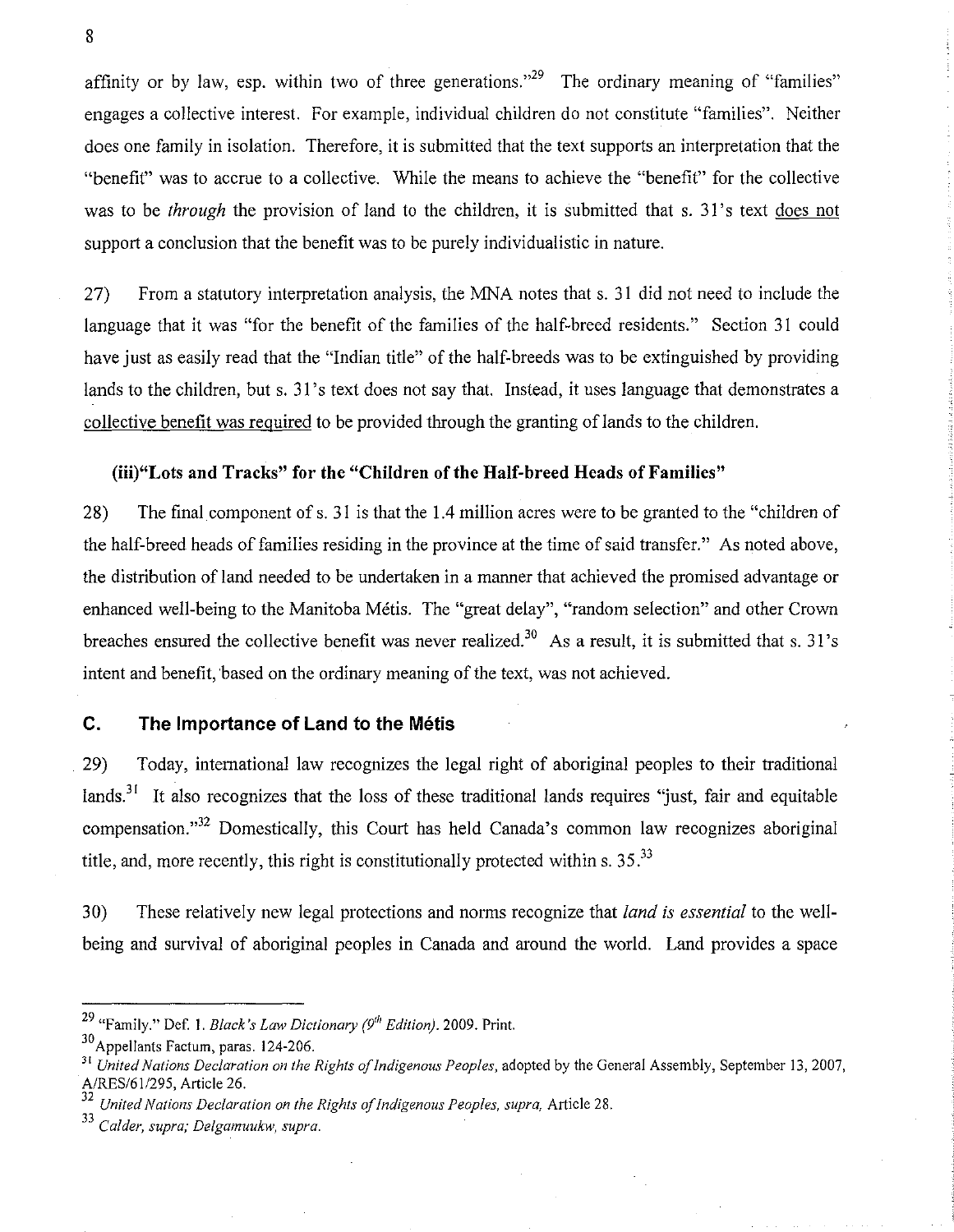affinity or by law, esp. within two of three generations.<sup> $29$ </sup> The ordinary meaning of "families" engages a collective interest. For example, individual children do not constitute "families". Neither does one family in isolation. Therefore, it is submitted that the text supports an interpretation that the "benefit" was to accrue to a collective. While the means to achieve the "benefit" for the collective was to be *through* the provision of land to the children, it is submitted that s. 31's text does not support a conclusion that the benefit was to be purely individualistic in nature.

27) From a statutory interpretation analysis, the MNA notes that s. 31 did not need to include the language that it was "for the benefit of the families of the half-breed residents." Section 31 could have just as easily read that the "Indian title" of the half-breeds was to be extinguished by providing lands to the children, but s. 31's text does not say that. Instead, it uses language that demonstrates a collective benefit was required to be provided through the granting of lands to the children.

### (iii)"Lots and Tracks" for the "Children of the Half-breed Heads of Families"

28) The final component of s. 31 is that the 1.4 million acres were to be granted to the "children of the half-breed heads of families residing in the province at the time of said transfer." As noted above, the distribution of land needed to be undertaken in a manner that achieved the promised advantage or enhanced well-being to the Manitoba Metis. The "great delay", "random selection" and other Crown breaches ensured the collective benefit was never realized.<sup>30</sup> As a result, it is submitted that s. 31's intent and benefit, based on the ordinary meaning of the text, was not achieved.

#### **C. The Importance of Land to the Metis**

29) Today, international law recognizes the legal right of aboriginal peoples to their traditional lands.<sup>31</sup> It also recognizes that the loss of these traditional lands requires "just, fair and equitable compensation."<sup>32</sup> Domestically, this Court has held Canada's common law recognizes aboriginal title, and, more recently, this right is constitutionally protected within s.  $35<sup>33</sup>$ 

30) These relatively new legal protections and norms recognize that *land is essential* to the wellbeing and survival of aboriginal peoples in Canada and around the world. Land provides a space

<sup>29 &</sup>quot;Family." Def. I. *Black's Law Dictionary* (9'" *Edition).* 2009. Print.

<sup>30</sup> Appellants Factum, paras. 124·206.

<sup>&</sup>lt;sup>31</sup> United Nations Declaration on the Rights of Indigenous Peoples, adopted by the General Assembly, September 13, 2007, A/RES/611295, Article 26.

*<sup>32</sup> United Nations Declaration on the Rights of Indigenous Peoples, supra,* Article 28.

<sup>33</sup>*Calder, supra; Delgamuukw, supra.*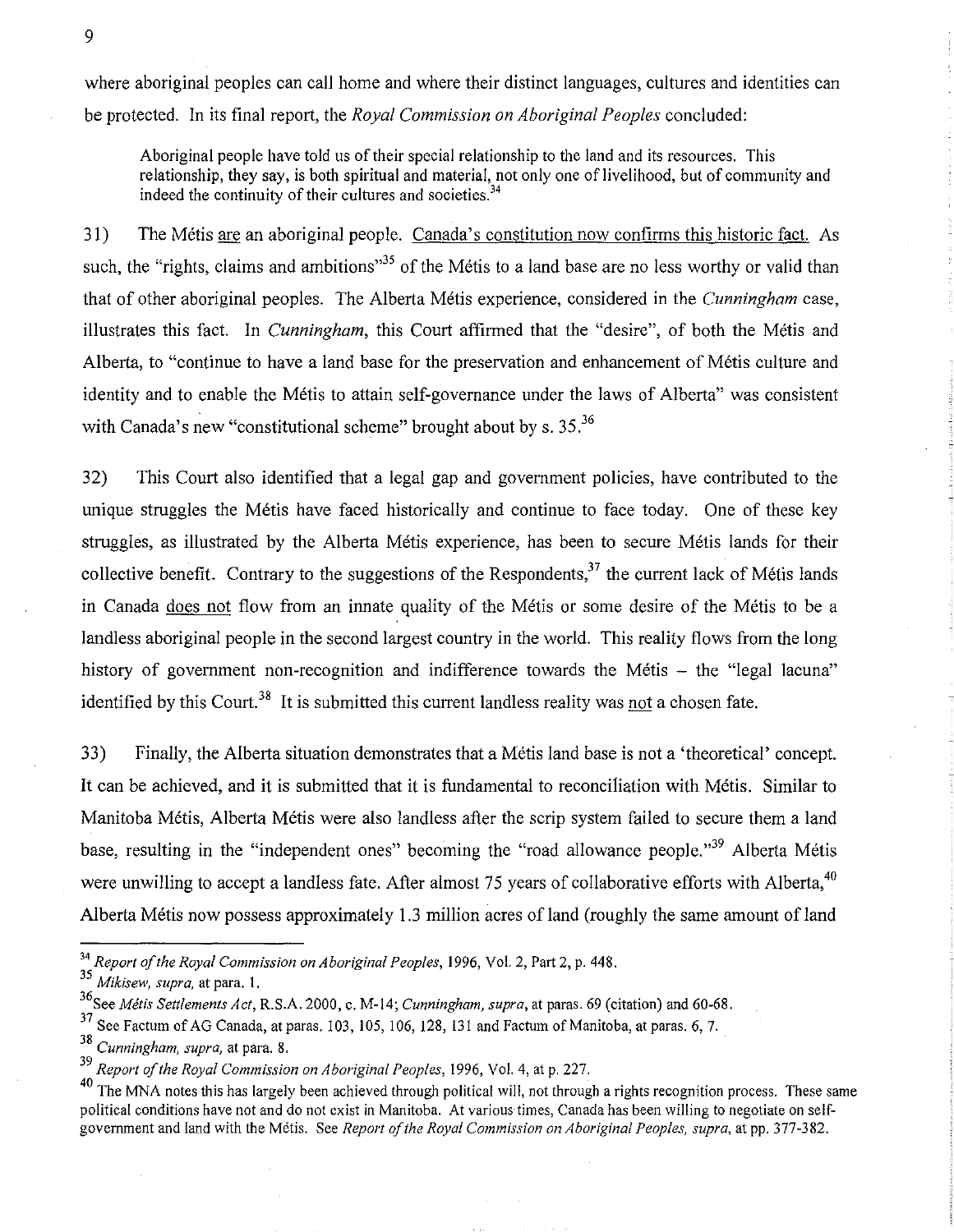where aboriginal peoples can call home and where their distinct languages, cultures and identities can be protected. In its final report, the *Royal Commission on Aboriginal Peoples* concluded:

Aboriginal people have told us of their special relationship to the land and its resources. This relationship, they say, is both spiritual and material, not only one of livelihood, but of community and indeed the continuity of their cultures and societies.<sup>34</sup>

31) The Métis are an aboriginal people. Canada's constitution now confirms this historic fact. As such, the "rights, claims and ambitions"<sup>35</sup> of the Métis to a land base are no less worthy or valid than that of other aboriginal peoples. The Alberta Metis experience, considered in the *Cunningham* case, illustrates this fact. In *Cunningham,* this Court affirmed that the "desire", of both the Metis and Alberta, to "continue to have a land base for the preservation and enhancement of Metis culture and identity and to enable the Metis to attain self-governance under the laws of Alberta" was consistent with Canada's new "constitutional scheme" brought about by s.  $35<sup>36</sup>$ 

32) This Court also identified that a legal gap and government policies, have contributed to the unique struggles the Metis have faced historically and continue to face today. One of these key struggles, as illustrated by the Alberta Metis experience, has been to secure Metis lands for their collective benefit. Contrary to the suggestions of the Respondents, $3<sup>7</sup>$  the current lack of Métis lands in Canada does not flow from an innate quality of the Métis or some desire of the Métis to be a landless aboriginal people in the second largest country in the world. This reality flows from the long history of government non-recognition and indifference towards the Métis - the "legal lacuna" identified by this Court.<sup>38</sup> It is submitted this current landless reality was not a chosen fate.

33) Finally, the Alberta situation demonstrates that a Metis land base is not a 'theoretical' concept. It can be achieved, and it is submitted that it is fundamental to reconciliation with Metis. Similar to Manitoba Metis, Alberta Metis were also landless after the scrip system failed to secure them a land base, resulting in the "independent ones" becoming the "road allowance people."<sup>39</sup> Alberta Métis were unwilling to accept a landless fate. After almost 75 years of collaborative efforts with Alberta, <sup>40</sup> Alberta Metis now possess approximately 1.3 million acres of land (roughly the same amount of land

*<sup>34</sup> Report of the Royal Commission on Aboriginal Peoples,* 1996, Vol. 2, Part 2, p. 448.

<sup>35</sup> Mikisew, supra, at para. 1.

<sup>36</sup>See *Metis Settlements Act,* R.S.A. 2000, c. M-14; *Cunningham, supra,* at paras. 69 (citation) and 60-68.

<sup>&</sup>lt;sup>37</sup> See Factum of AG Canada, at paras. 103, 105, 106, 128, 131 and Factum of Manitoba, at paras. 6, 7.

*<sup>38</sup> Cunningham, supra,* at para. 8.

*<sup>39</sup> Report of the Royal Commission on Aboriginal Peoples,* 1996, Vol. 4, at p. 227.

<sup>&</sup>lt;sup>40</sup> The MNA notes this has largely been achieved through political will, not through a rights recognition process. These same political conditions have not and do not exist in Manitoba. At various times, Canada has been willing to negotiate on selfgovernment and land with the Metis. See *Report of the Royol Commission on Aboriginal Peoples, supra,* at pp. 377-382.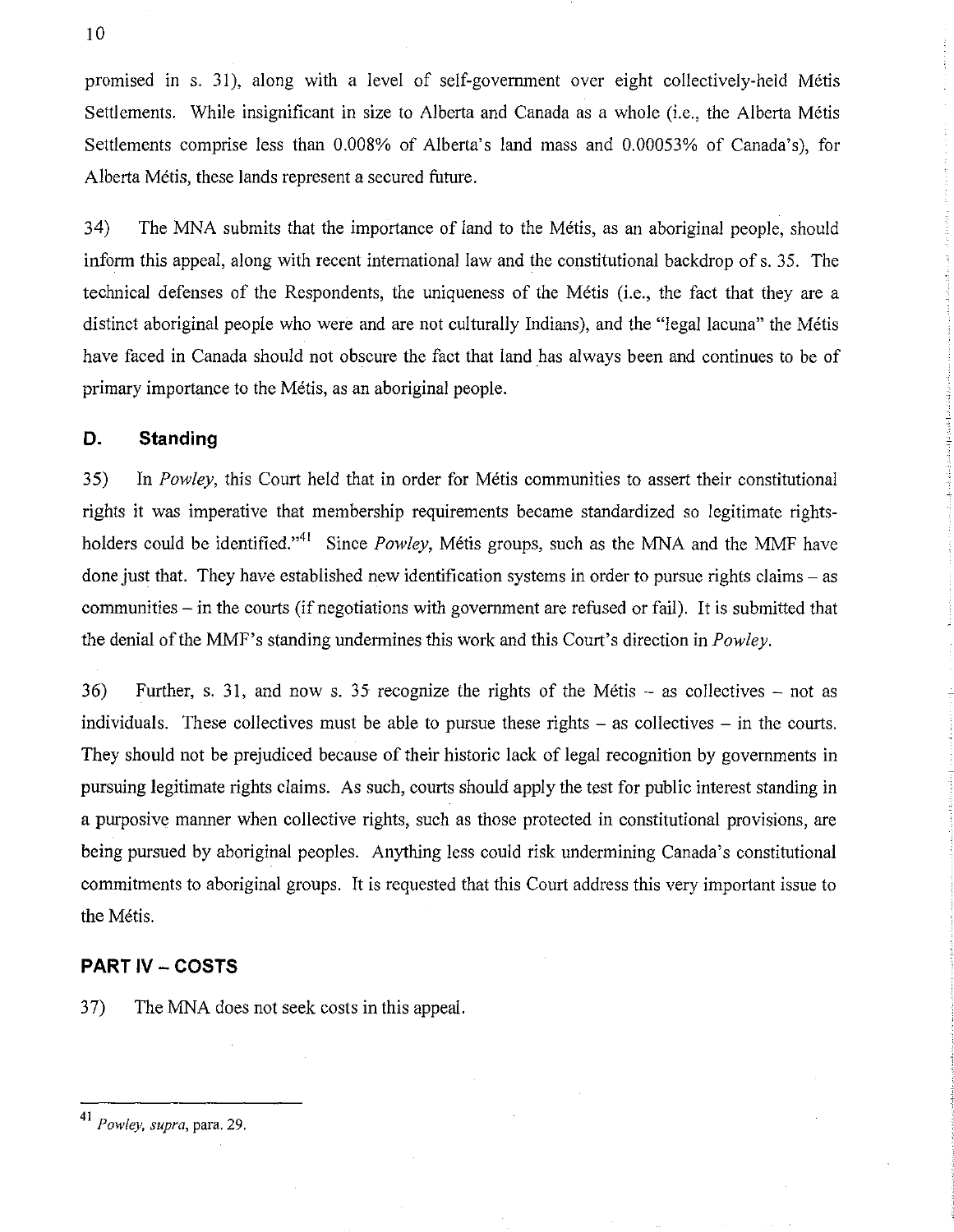promised in s. 31), along with a level of self-govermnent over eight collectively-held Metis Settlements. While insignificant in size to Alberta and Canada as a whole (i.e., the Alberta Metis Settlements comprise less than 0.008% of Alberta's land mass and 0.00053% of Canada's), for Alberta Métis, these lands represent a secured future.

34) The MNA submits that the importance of land to the Metis, as an aboriginal people, should inform this appeal, along with recent international law and the constitutional backdrop of s. 35. The technical defenses of the Respondents, the uniqueness of the Metis (i.e., the fact that they are a distinct aboriginal people who were and are not culturally Indians), and the "legal lacuna" the Metis have faced in Canada should not obscure the fact that land has always been and continues to be of primary importance to the Metis, as an aboriginal people.

### **D. Standing**

35) In *Powley,* this Court held that in order for Metis communities to assert their constitutional rights it was imperative that membership requirements became standardized so legitimate rightsholders could be identified.<sup>141</sup> Since *Powley*, Métis groups, such as the MNA and the MMF have done just that. They have established new identification systems in order to pursue rights claims – as communities - in the courts (if negotiations with government are refused or fail). It is submitted that the denial of the MMF's standing undermines this work and this Court's direction in *Powley.* 

 $36$  Further, s. 31, and now s. 35 recognize the rights of the Métis – as collectives – not as individuals. These collectives must be able to pursue these rights  $-$  as collectives  $-$  in the courts. They should not be prejudiced because of their historic lack of legal recognition by govermnents in pursuing legitimate rights claims. As such, courts should apply the test for public interest standing in a purposive manner when collective rights, such as those protected in constitutional provisions, are being pursued by aboriginal peoples. Anything less could risk undermining Canada's constitutional commitments to aboriginal groups. It is requested that this Court address this very important issue to the Métis.

#### **PART IV - COSTS**

37) The MNA does not seek costs in this appeal.

<sup>10</sup> 

<sup>41</sup>*Powley, supra,* para. 29.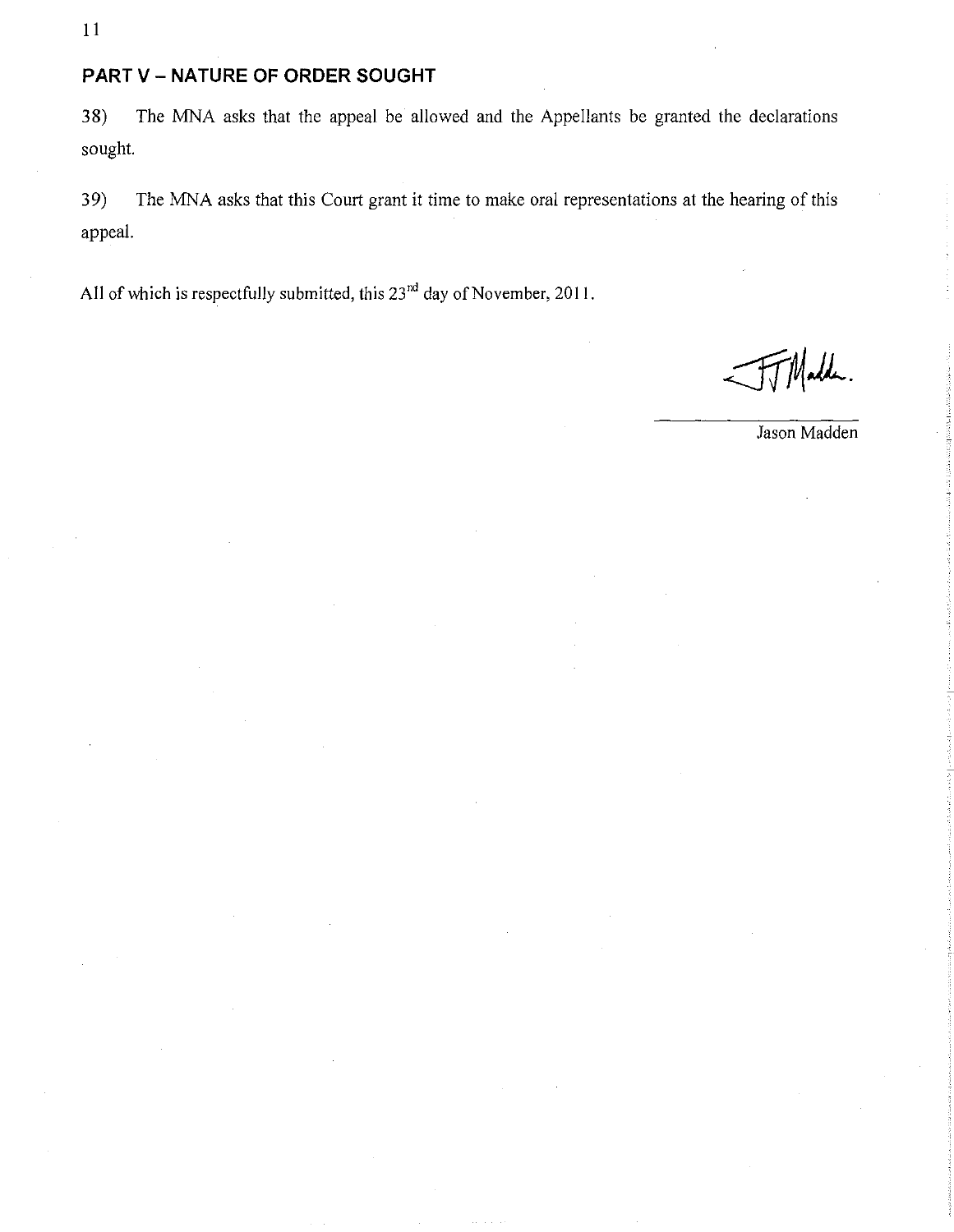**11** 

# **PART V - NATURE OF ORDER SOUGHT**

38) The MNA asks that the appeal be allowed and the Appellants be granted the declarations sought.

39) The MNA asks that this Court grant it time to make oral representations at the hearing of this appeal.

All of which is respectfully submitted, this  $23<sup>nd</sup>$  day of November, 2011.

Madde.

Jason Madden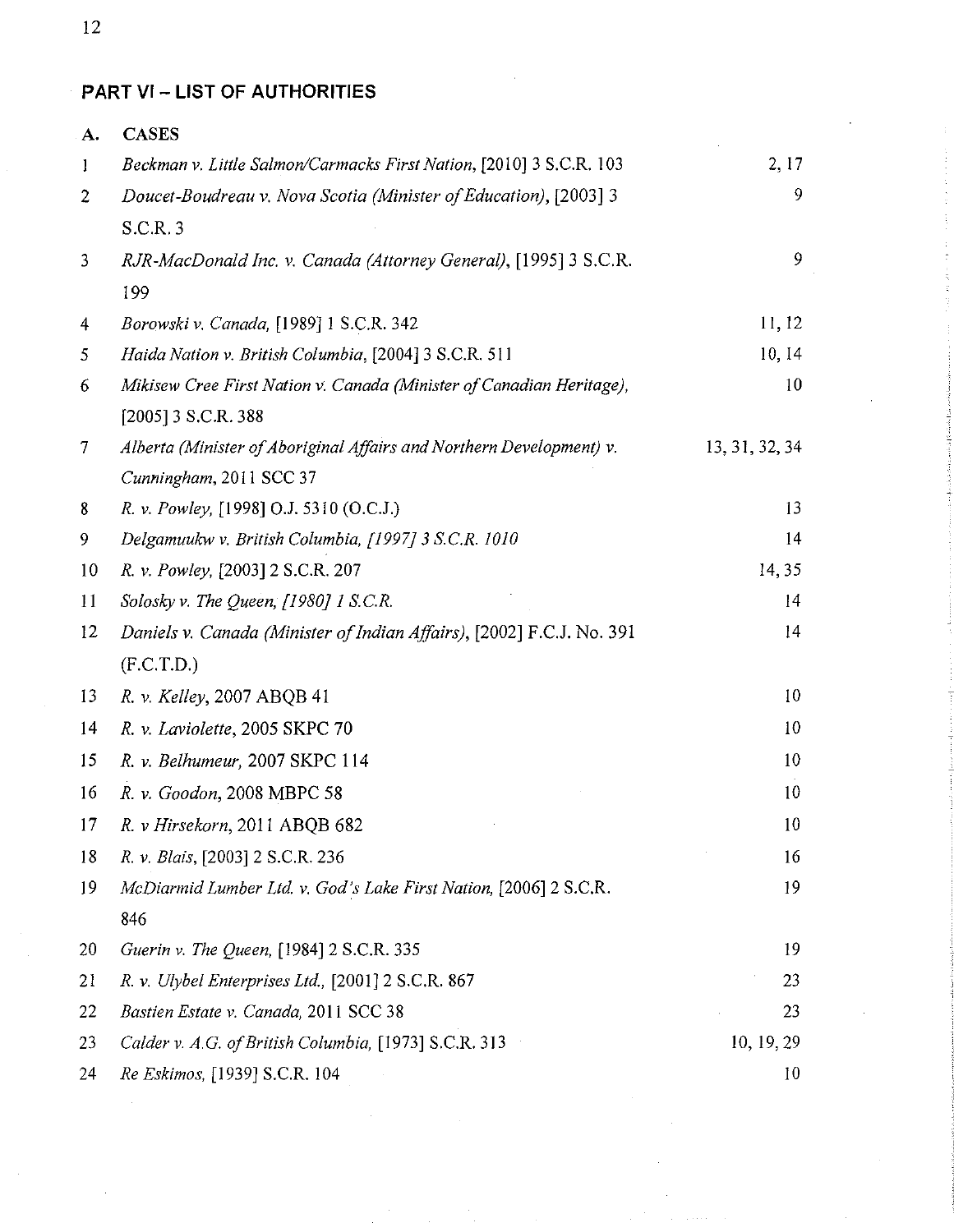**PART VI- LIST OF AUTHORITIES** 

| A.                | <b>CASES</b>                                                          |                |
|-------------------|-----------------------------------------------------------------------|----------------|
| $\bf{l}$          | Beckman v. Little Salmon/Carmacks First Nation, [2010] 3 S.C.R. 103   | 2, 17          |
| 2                 | Doucet-Boudreau v. Nova Scotia (Minister of Education), [2003] 3      | 9              |
|                   | S.C.R. 3                                                              |                |
| 3                 | RJR-MacDonald Inc. v. Canada (Attorney General), [1995] 3 S.C.R.      | 9              |
|                   | 199                                                                   |                |
| 4                 | Borowski v. Canada, [1989] 1 S.C.R. 342                               | 11, 12         |
| 5                 | Haida Nation v. British Columbia, [2004] 3 S.C.R. 511                 | 10, 14         |
| 6                 | Mikisew Cree First Nation v. Canada (Minister of Canadian Heritage),  | 10             |
|                   | [2005] 3 S.C.R. 388                                                   |                |
| $\overline{\tau}$ | Alberta (Minister of Aboriginal Affairs and Northern Development) v.  | 13, 31, 32, 34 |
|                   | Cunningham, 2011 SCC 37                                               |                |
| 8                 | R. v. Powley, [1998] O.J. 5310 (O.C.J.)                               | 13             |
| 9                 | Delgamuukw v. British Columbia, [1997] 3 S.C.R. 1010                  | 14             |
| 10                | R. v. Powley, [2003] 2 S.C.R. 207                                     | 14,35          |
| 11                | Solosky v. The Queen, [1980] 1 S.C.R.                                 | 14             |
| 12                | Daniels v. Canada (Minister of Indian Affairs), [2002] F.C.J. No. 391 | 14             |
|                   | (F.C.T.D.)                                                            |                |
| 13                | R. v. Kelley, 2007 ABQB 41                                            | 10             |
| 14                | R. v. Laviolette, 2005 SKPC 70                                        | 10             |
| 15                | R. v. Belhumeur, 2007 SKPC 114                                        | 10             |
| 16                | R. v. Goodon, 2008 MBPC 58                                            | 10             |
| 17                | R. v Hirsekorn, 2011 ABQB 682                                         | 10             |
| 18                | R. v. Blais, [2003] 2 S.C.R. 236                                      | 16             |
| 19                | McDiarmid Lumber Ltd. v. God's Lake First Nation, [2006] 2 S.C.R.     | 19             |
|                   | 846                                                                   |                |
| 20                | Guerin v. The Queen, [1984] 2 S.C.R. 335                              | 19             |
| 21                | R. v. Ulybel Enterprises Ltd., [2001] 2 S.C.R. 867                    | 23             |
| 22                | Bastien Estate v. Canada, 2011 SCC 38                                 | 23             |
| 23                | Calder v. A.G. of British Columbia, [1973] S.C.R. 313                 | 10, 19, 29     |
| 24                | Re Eskimos, [1939] S.C.R. 104                                         | 10             |